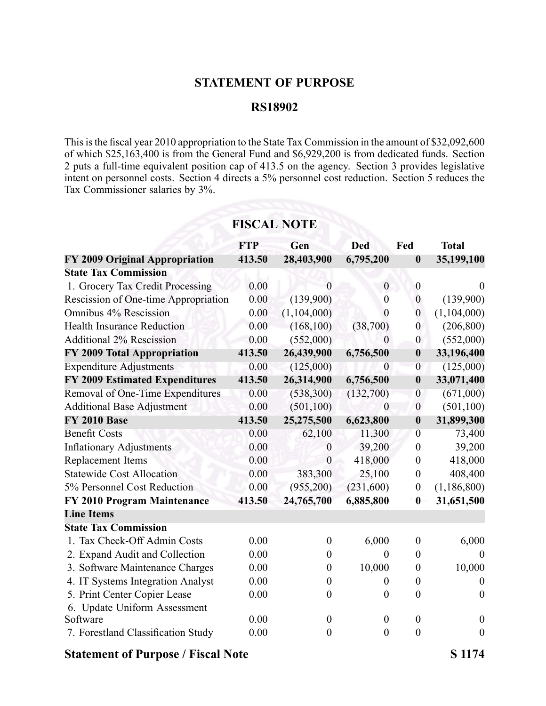### **STATEMENT OF PURPOSE**

#### **RS18902**

This is the fiscal year 2010 appropriation to the State Tax Commission in the amount of \$32,092,600 of which \$25,163,400 is from the General Fund and \$6,929,200 is from dedicated funds. Section 2 puts a full-time equivalent position cap of 413.5 on the agency. Section 3 provides legislative intent on personnel costs. Section 4 directs <sup>a</sup> 5% personnel cost reduction. Section 5 reduces the Tax Commissioner salaries by 3%.

|                                       | едня по те |                  |                  |                  |                  |
|---------------------------------------|------------|------------------|------------------|------------------|------------------|
|                                       | <b>FTP</b> | Gen              | <b>Ded</b>       | Fed              | <b>Total</b>     |
| FY 2009 Original Appropriation        | 413.50     | 28,403,900       | 6,795,200        | $\boldsymbol{0}$ | 35,199,100       |
| <b>State Tax Commission</b>           |            |                  |                  |                  |                  |
| 1. Grocery Tax Credit Processing      | 0.00       | 0                | $\boldsymbol{0}$ | $\boldsymbol{0}$ | $\theta$         |
| Rescission of One-time Appropriation  | 0.00       | (139,900)        | $\boldsymbol{0}$ | $\boldsymbol{0}$ | (139,900)        |
| Omnibus 4% Rescission                 | 0.00       | (1,104,000)      | 0                | $\boldsymbol{0}$ | (1,104,000)      |
| <b>Health Insurance Reduction</b>     | 0.00       | (168, 100)       | (38,700)         | $\overline{0}$   | (206, 800)       |
| <b>Additional 2% Rescission</b>       | 0.00       | (552,000)        | $\overline{0}$   | $\boldsymbol{0}$ | (552,000)        |
| FY 2009 Total Appropriation           | 413.50     | 26,439,900       | 6,756,500        | $\boldsymbol{0}$ | 33,196,400       |
| <b>Expenditure Adjustments</b>        | 0.00       | (125,000)        | $\theta$         | $\overline{0}$   | (125,000)        |
| <b>FY 2009 Estimated Expenditures</b> | 413.50     | 26,314,900       | 6,756,500        | $\boldsymbol{0}$ | 33,071,400       |
| Removal of One-Time Expenditures      | 0.00       | (538, 300)       | (132,700)        | $\overline{0}$   | (671,000)        |
| <b>Additional Base Adjustment</b>     | 0.00       | (501, 100)       | $\boldsymbol{0}$ | $\boldsymbol{0}$ | (501, 100)       |
| <b>FY 2010 Base</b>                   | 413.50     | 25,275,500       | 6,623,800        | $\boldsymbol{0}$ | 31,899,300       |
| <b>Benefit Costs</b>                  | 0.00       | 62,100           | 11,300           | $\overline{0}$   | 73,400           |
| <b>Inflationary Adjustments</b>       | 0.00       | $\boldsymbol{0}$ | 39,200           | $\boldsymbol{0}$ | 39,200           |
| Replacement Items                     | 0.00       | $\boldsymbol{0}$ | 418,000          | $\boldsymbol{0}$ | 418,000          |
| <b>Statewide Cost Allocation</b>      | 0.00       | 383,300          | 25,100           | $\boldsymbol{0}$ | 408,400          |
| 5% Personnel Cost Reduction           | 0.00       | (955,200)        | (231,600)        | $\boldsymbol{0}$ | (1, 186, 800)    |
| FY 2010 Program Maintenance           | 413.50     | 24,765,700       | 6,885,800        | $\boldsymbol{0}$ | 31,651,500       |
| <b>Line Items</b>                     |            |                  |                  |                  |                  |
| <b>State Tax Commission</b>           |            |                  |                  |                  |                  |
| 1. Tax Check-Off Admin Costs          | 0.00       | $\boldsymbol{0}$ | 6,000            | $\boldsymbol{0}$ | 6,000            |
| 2. Expand Audit and Collection        | 0.00       | $\theta$         | $\theta$         | $\overline{0}$   | $\theta$         |
| 3. Software Maintenance Charges       | 0.00       | $\boldsymbol{0}$ | 10,000           | $\boldsymbol{0}$ | 10,000           |
| 4. IT Systems Integration Analyst     | 0.00       | $\boldsymbol{0}$ | $\theta$         | $\boldsymbol{0}$ | $\Omega$         |
| 5. Print Center Copier Lease          | 0.00       | $\boldsymbol{0}$ | $\boldsymbol{0}$ | $\boldsymbol{0}$ | $\boldsymbol{0}$ |
| 6. Update Uniform Assessment          |            |                  |                  |                  |                  |
| Software                              | 0.00       | $\boldsymbol{0}$ | $\boldsymbol{0}$ | $\boldsymbol{0}$ | $\boldsymbol{0}$ |
| 7. Forestland Classification Study    | 0.00       | $\overline{0}$   | $\theta$         | $\boldsymbol{0}$ | $\boldsymbol{0}$ |

# **FISCAL NOTE**

## **Statement of Purpose / Fiscal Note S 1174**